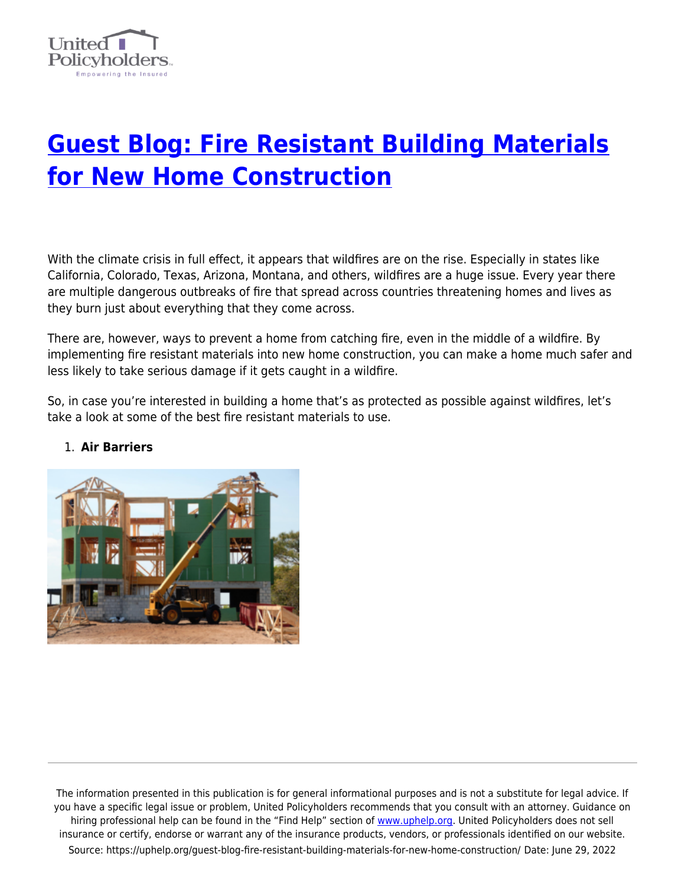

# **[Guest Blog: Fire Resistant Building Materials](https://uphelp.org/guest-blog-fire-resistant-building-materials-for-new-home-construction/) [for New Home Construction](https://uphelp.org/guest-blog-fire-resistant-building-materials-for-new-home-construction/)**

With the climate crisis in full effect, it appears that wildfires are on the rise. Especially in states like California, Colorado, Texas, Arizona, Montana, and others, wildfires are a huge issue. Every year there are multiple dangerous outbreaks of fire that spread across countries threatening homes and lives as they burn just about everything that they come across.

There are, however, ways to prevent a home from catching fire, even in the middle of a wildfire. By implementing fire resistant materials into new home construction, you can make a home much safer and less likely to take serious damage if it gets caught in a wildfire.

So, in case you're interested in building a home that's as protected as possible against wildfires, let's take a look at some of the best fire resistant materials to use.



## 1. **Air Barriers**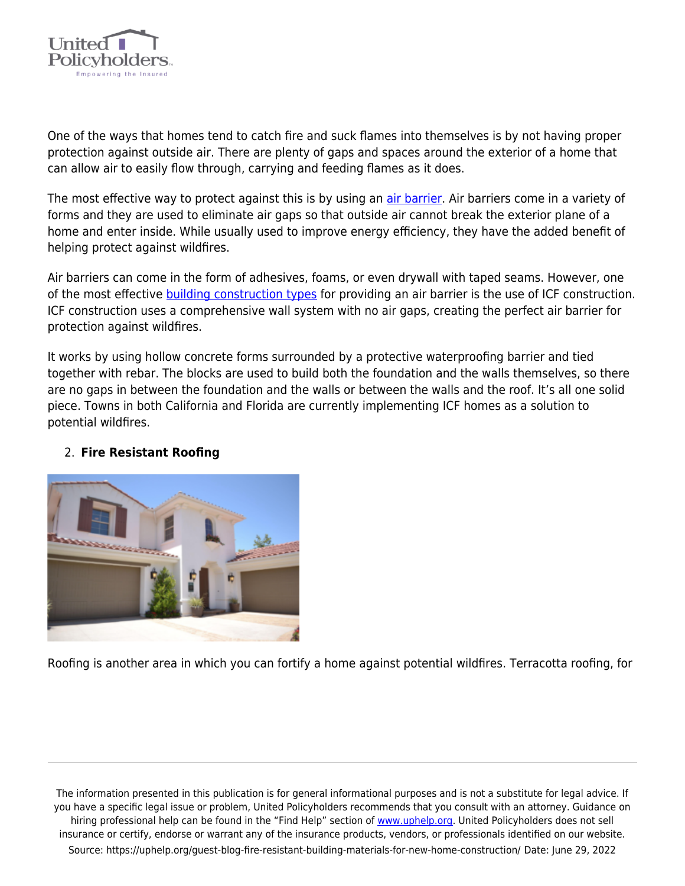

One of the ways that homes tend to catch fire and suck flames into themselves is by not having proper protection against outside air. There are plenty of gaps and spaces around the exterior of a home that can allow air to easily flow through, carrying and feeding flames as it does.

The most effective way to protect against this is by using an *[air barrier](https://polyguardproducts.com/2021/08/air-barrier/)*. Air barriers come in a variety of forms and they are used to eliminate air gaps so that outside air cannot break the exterior plane of a home and enter inside. While usually used to improve energy efficiency, they have the added benefit of helping protect against wildfires.

Air barriers can come in the form of adhesives, foams, or even drywall with taped seams. However, one of the most effective **[building construction types](http://wall.atlasrwi.com/building-construction-types/)** for providing an air barrier is the use of ICF construction. ICF construction uses a comprehensive wall system with no air gaps, creating the perfect air barrier for protection against wildfires.

It works by using hollow concrete forms surrounded by a protective waterproofing barrier and tied together with rebar. The blocks are used to build both the foundation and the walls themselves, so there are no gaps in between the foundation and the walls or between the walls and the roof. It's all one solid piece. Towns in both California and Florida are currently implementing ICF homes as a solution to potential wildfires.

#### 2. **Fire Resistant Roofing**



Roofing is another area in which you can fortify a home against potential wildfires. Terracotta roofing, for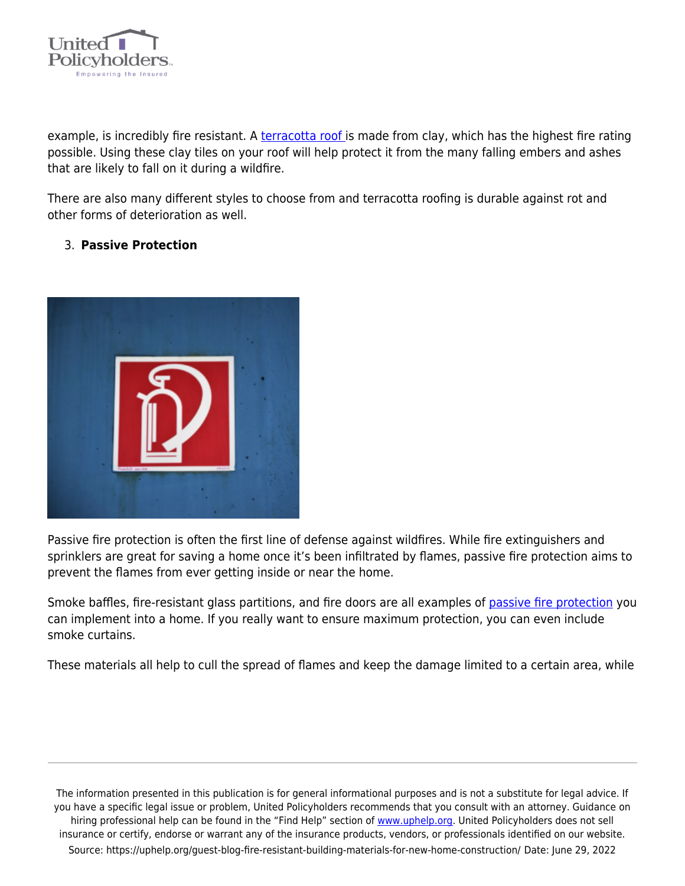

example, is incredibly fire resistant. A [terracotta roof i](https://www.bravarooftile.com/blog/terracotta-roof/)s made from clay, which has the highest fire rating possible. Using these clay tiles on your roof will help protect it from the many falling embers and ashes that are likely to fall on it during a wildfire.

There are also many different styles to choose from and terracotta roofing is durable against rot and other forms of deterioration as well.

#### 3. **Passive Protection**



Passive fire protection is often the first line of defense against wildfires. While fire extinguishers and sprinklers are great for saving a home once it's been infiltrated by flames, passive fire protection aims to prevent the flames from ever getting inside or near the home.

Smoke baffles, fire-resistant glass partitions, and fire doors are all examples of [passive fire protection](https://smokeguard.com/blog/2019/august/15/understanding-the-differences-between-active-vs-passive-fire-protection-systems) you can implement into a home. If you really want to ensure maximum protection, you can even include smoke curtains.

These materials all help to cull the spread of flames and keep the damage limited to a certain area, while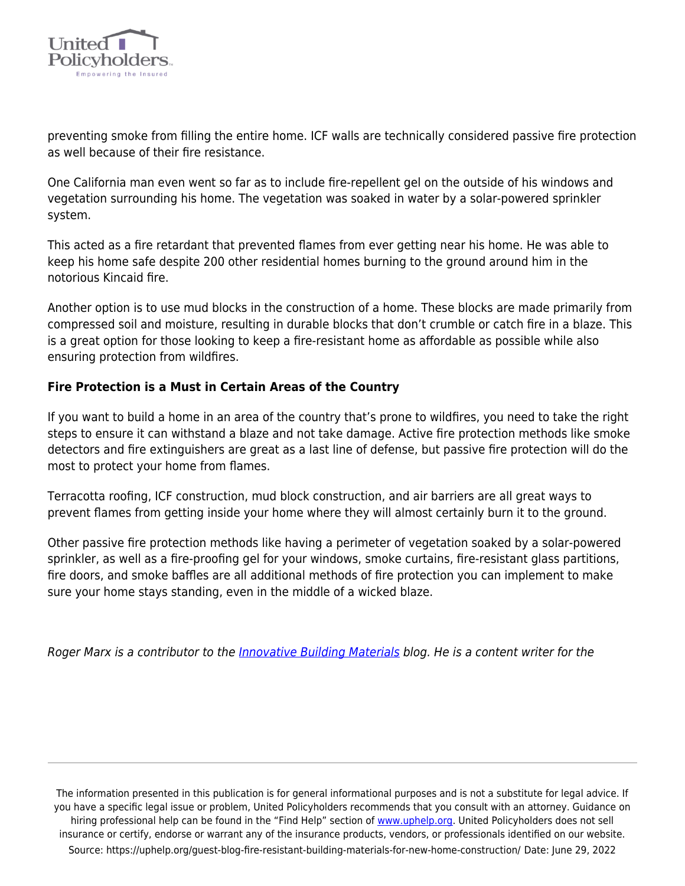

preventing smoke from filling the entire home. ICF walls are technically considered passive fire protection as well because of their fire resistance.

One California man even went so far as to include fire-repellent gel on the outside of his windows and vegetation surrounding his home. The vegetation was soaked in water by a solar-powered sprinkler system.

This acted as a fire retardant that prevented flames from ever getting near his home. He was able to keep his home safe despite 200 other residential homes burning to the ground around him in the notorious Kincaid fire.

Another option is to use mud blocks in the construction of a home. These blocks are made primarily from compressed soil and moisture, resulting in durable blocks that don't crumble or catch fire in a blaze. This is a great option for those looking to keep a fire-resistant home as affordable as possible while also ensuring protection from wildfires.

### **Fire Protection is a Must in Certain Areas of the Country**

If you want to build a home in an area of the country that's prone to wildfires, you need to take the right steps to ensure it can withstand a blaze and not take damage. Active fire protection methods like smoke detectors and fire extinguishers are great as a last line of defense, but passive fire protection will do the most to protect your home from flames.

Terracotta roofing, ICF construction, mud block construction, and air barriers are all great ways to prevent flames from getting inside your home where they will almost certainly burn it to the ground.

Other passive fire protection methods like having a perimeter of vegetation soaked by a solar-powered sprinkler, as well as a fire-proofing gel for your windows, smoke curtains, fire-resistant glass partitions, fire doors, and smoke baffles are all additional methods of fire protection you can implement to make sure your home stays standing, even in the middle of a wicked blaze.

Roger Marx is a contributor to the *[Innovative Building Materials](https://innovativebuildingmaterials.com/)* blog. He is a content writer for the